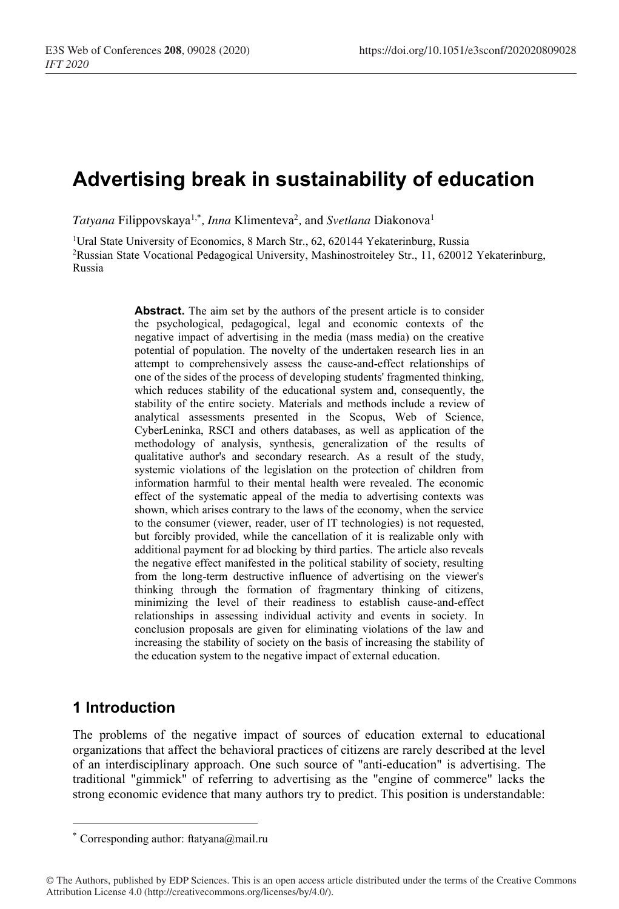# **Advertising break in sustainability of education**

*Tatyana* Filippovskaya1,\* *, Inna* Klimenteva2 *,* and *Svetlana* Diakonova1

<sup>1</sup>Ural State University of Economics, 8 March Str., 62, 620144 Yekaterinburg, Russia 2Russian State Vocational Pedagogical University, Mashinostroiteley Str., 11, 620012 Yekaterinburg, Russia

> **Abstract.** The aim set by the authors of the present article is to consider the psychological, pedagogical, legal and economic contexts of the negative impact of advertising in the media (mass media) on the creative potential of population. The novelty of the undertaken research lies in an attempt to comprehensively assess the cause-and-effect relationships of one of the sides of the process of developing students' fragmented thinking, which reduces stability of the educational system and, consequently, the stability of the entire society. Materials and methods include a review of analytical assessments presented in the Scopus, Web of Science, CyberLeninka, RSCI and others databases, as well as application of the methodology of analysis, synthesis, generalization of the results of qualitative author's and secondary research. As a result of the study, systemic violations of the legislation on the protection of children from information harmful to their mental health were revealed. The economic effect of the systematic appeal of the media to advertising contexts was shown, which arises contrary to the laws of the economy, when the service to the consumer (viewer, reader, user of IT technologies) is not requested, but forcibly provided, while the cancellation of it is realizable only with additional payment for ad blocking by third parties. The article also reveals the negative effect manifested in the political stability of society, resulting from the long-term destructive influence of advertising on the viewer's thinking through the formation of fragmentary thinking of citizens, minimizing the level of their readiness to establish cause-and-effect relationships in assessing individual activity and events in society. In conclusion proposals are given for eliminating violations of the law and increasing the stability of society on the basis of increasing the stability of the education system to the negative impact of external education.

### **1 Introduction**

The problems of the negative impact of sources of education external to educational organizations that affect the behavioral practices of citizens are rarely described at the level of an interdisciplinary approach. One such source of "anti-education" is advertising. The traditional "gimmick" of referring to advertising as the "engine of commerce" lacks the strong economic evidence that many authors try to predict. This position is understandable:

<sup>\*</sup> Corresponding author: ftatyana@mail.ru

<sup>©</sup> The Authors, published by EDP Sciences. This is an open access article distributed under the terms of the Creative Commons Attribution License 4.0 (http://creativecommons.org/licenses/by/4.0/).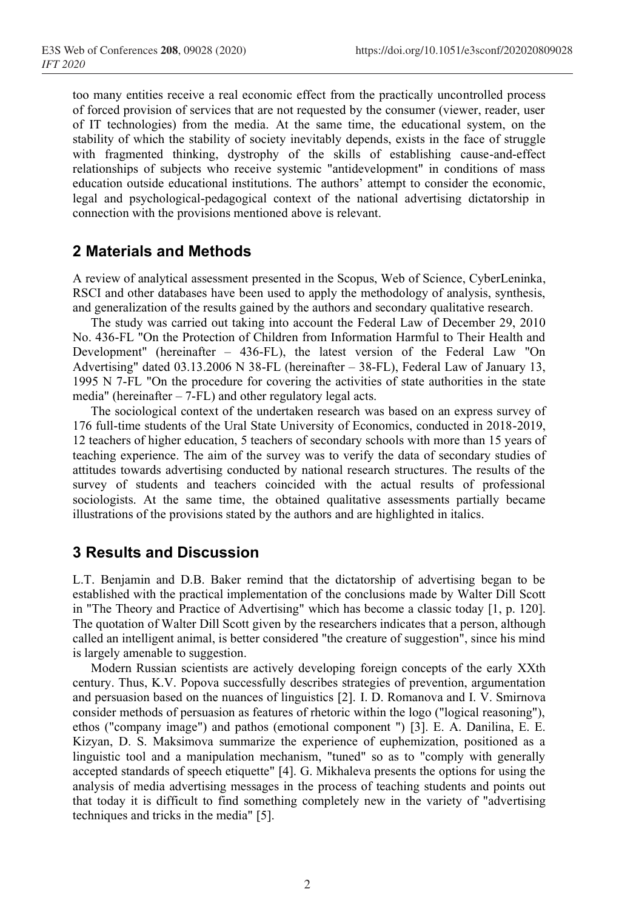too many entities receive a real economic effect from the practically uncontrolled process of forced provision of services that are not requested by the consumer (viewer, reader, user of IT technologies) from the media. At the same time, the educational system, on the stability of which the stability of society inevitably depends, exists in the face of struggle with fragmented thinking, dystrophy of the skills of establishing cause-and-effect relationships of subjects who receive systemic "antidevelopment" in conditions of mass education outside educational institutions. The authors' attempt to consider the economic, legal and psychological-pedagogical context of the national advertising dictatorship in connection with the provisions mentioned above is relevant.

### **2 Materials and Methods**

A review of analytical assessment presented in the Scopus, Web of Science, CyberLeninka, RSCI and other databases have been used to apply the methodology of analysis, synthesis, and generalization of the results gained by the authors and secondary qualitative research.

The study was carried out taking into account the Federal Law of December 29, 2010 No. 436-FL "On the Protection of Children from Information Harmful to Their Health and Development" (hereinafter – 436-FL), the latest version of the Federal Law "On Advertising" dated 03.13.2006 N 38-FL (hereinafter – 38-FL), Federal Law of January 13, 1995 N 7-FL "On the procedure for covering the activities of state authorities in the state media" (hereinafter  $-7$ -FL) and other regulatory legal acts.

The sociological context of the undertaken research was based on an express survey of 176 full-time students of the Ural State University of Economics, conducted in 2018-2019, 12 teachers of higher education, 5 teachers of secondary schools with more than 15 years of teaching experience. The aim of the survey was to verify the data of secondary studies of attitudes towards advertising conducted by national research structures. The results of the survey of students and teachers coincided with the actual results of professional sociologists. At the same time, the obtained qualitative assessments partially became illustrations of the provisions stated by the authors and are highlighted in italics.

### **3 Results and Discussion**

L.T. Benjamin and D.B. Baker remind that the dictatorship of advertising began to be established with the practical implementation of the conclusions made by Walter Dill Scott in "The Theory and Practice of Advertising" which has become a classic today [1, р. 120]. The quotation of Walter Dill Scott given by the researchers indicates that a person, although called an intelligent animal, is better considered "the creature of suggestion", since his mind is largely amenable to suggestion.

Modern Russian scientists are actively developing foreign concepts of the early ХХth century. Thus, K.V. Popova successfully describes strategies of prevention, argumentation and persuasion based on the nuances of linguistics [2]. I. D. Romanova and I. V. Smirnova consider methods of persuasion as features of rhetoric within the logo ("logical reasoning"), ethos ("company image") and pathos (emotional component ") [3]. E. A. Danilina, E. E. Kizyan, D. S. Maksimova summarize the experience of euphemization, positioned as a linguistic tool and a manipulation mechanism, "tuned" so as to "comply with generally accepted standards of speech etiquette" [4]. G. Mikhaleva presents the options for using the analysis of media advertising messages in the process of teaching students and points out that today it is difficult to find something completely new in the variety of "advertising techniques and tricks in the media" [5].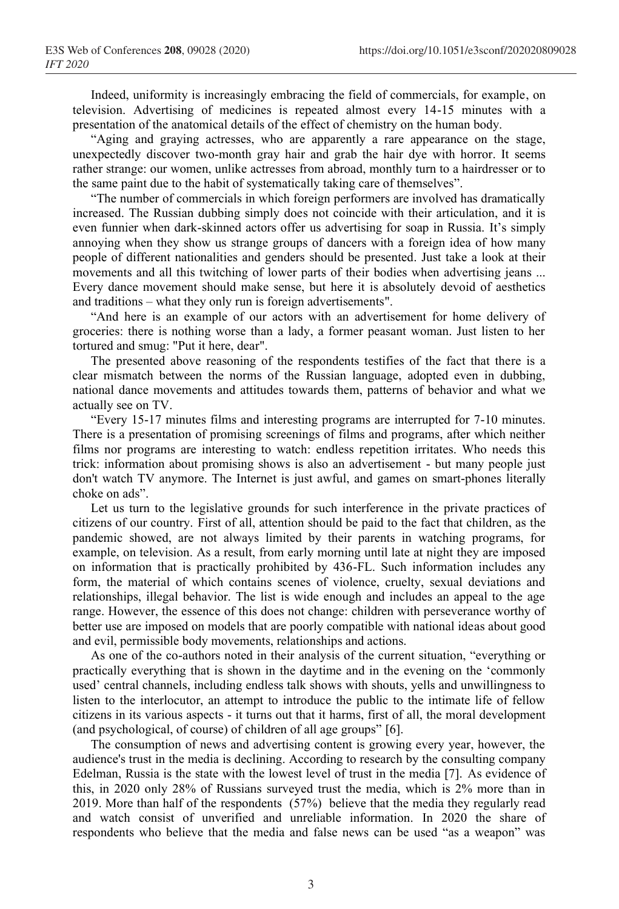Indeed, uniformity is increasingly embracing the field of commercials, for example, on television. Advertising of medicines is repeated almost every 14-15 minutes with a presentation of the anatomical details of the effect of chemistry on the human body.

"Aging and graying actresses, who are apparently a rare appearance on the stage, unexpectedly discover two-month gray hair and grab the hair dye with horror. It seems rather strange: our women, unlike actresses from abroad, monthly turn to a hairdresser or to the same paint due to the habit of systematically taking care of themselves".

"The number of commercials in which foreign performers are involved has dramatically increased. The Russian dubbing simply does not coincide with their articulation, and it is even funnier when dark-skinned actors offer us advertising for soap in Russia. It's simply annoying when they show us strange groups of dancers with a foreign idea of how many people of different nationalities and genders should be presented. Just take a look at their movements and all this twitching of lower parts of their bodies when advertising jeans ... Every dance movement should make sense, but here it is absolutely devoid of aesthetics and traditions – what they only run is foreign advertisements".

"And here is an example of our actors with an advertisement for home delivery of groceries: there is nothing worse than a lady, a former peasant woman. Just listen to her tortured and smug: "Put it here, dear".

The presented above reasoning of the respondents testifies of the fact that there is a clear mismatch between the norms of the Russian language, adopted even in dubbing, national dance movements and attitudes towards them, patterns of behavior and what we actually see on TV.

"Every 15-17 minutes films and interesting programs are interrupted for 7-10 minutes. There is a presentation of promising screenings of films and programs, after which neither films nor programs are interesting to watch: endless repetition irritates. Who needs this trick: information about promising shows is also an advertisement - but many people just don't watch TV anymore. The Internet is just awful, and games on smart-phones literally choke on ads".

Let us turn to the legislative grounds for such interference in the private practices of citizens of our country. First of all, attention should be paid to the fact that children, as the pandemic showed, are not always limited by their parents in watching programs, for example, on television. As a result, from early morning until late at night they are imposed on information that is practically prohibited by 436-FL. Such information includes any form, the material of which contains scenes of violence, cruelty, sexual deviations and relationships, illegal behavior. The list is wide enough and includes an appeal to the age range. However, the essence of this does not change: children with perseverance worthy of better use are imposed on models that are poorly compatible with national ideas about good and evil, permissible body movements, relationships and actions.

As one of the co-authors noted in their analysis of the current situation, "everything or practically everything that is shown in the daytime and in the evening on the 'commonly used' central channels, including endless talk shows with shouts, yells and unwillingness to listen to the interlocutor, an attempt to introduce the public to the intimate life of fellow citizens in its various aspects - it turns out that it harms, first of all, the moral development (and psychological, of course) of children of all age groups" [6].

The consumption of news and advertising content is growing every year, however, the audience's trust in the media is declining. According to research by the consulting company Edelman, Russia is the state with the lowest level of trust in the media [7]. As evidence of this, in 2020 only 28% of Russians surveyed trust the media, which is 2% more than in 2019. More than half of the respondents (57%) believe that the media they regularly read and watch consist of unverified and unreliable information. In 2020 the share of respondents who believe that the media and false news can be used "as a weapon" was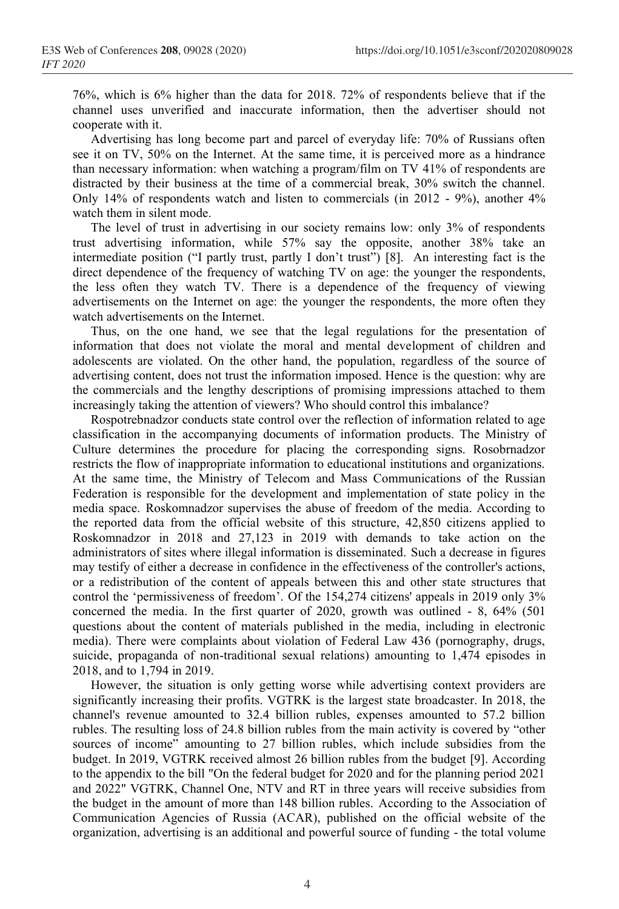76%, which is 6% higher than the data for 2018. 72% of respondents believe that if the channel uses unverified and inaccurate information, then the advertiser should not cooperate with it.

Advertising has long become part and parcel of everyday life: 70% of Russians often see it on TV, 50% on the Internet. At the same time, it is perceived more as a hindrance than necessary information: when watching a program/film on TV 41% of respondents are distracted by their business at the time of a commercial break, 30% switch the channel. Only 14% of respondents watch and listen to commercials (in 2012 - 9%), another 4% watch them in silent mode.

The level of trust in advertising in our society remains low: only 3% of respondents trust advertising information, while 57% say the opposite, another 38% take an intermediate position ("I partly trust, partly I don't trust") [8]. An interesting fact is the direct dependence of the frequency of watching TV on age: the younger the respondents, the less often they watch TV. There is a dependence of the frequency of viewing advertisements on the Internet on age: the younger the respondents, the more often they watch advertisements on the Internet.

Thus, on the one hand, we see that the legal regulations for the presentation of information that does not violate the moral and mental development of children and adolescents are violated. On the other hand, the population, regardless of the source of advertising content, does not trust the information imposed. Hence is the question: why are the commercials and the lengthy descriptions of promising impressions attached to them increasingly taking the attention of viewers? Who should control this imbalance?

Rospotrebnadzor conducts state control over the reflection of information related to age classification in the accompanying documents of information products. The Ministry of Culture determines the procedure for placing the corresponding signs. Rosobrnadzor restricts the flow of inappropriate information to educational institutions and organizations. At the same time, the Ministry of Telecom and Mass Communications of the Russian Federation is responsible for the development and implementation of state policy in the media space. Roskomnadzor supervises the abuse of freedom of the media. According to the reported data from the official website of this structure, 42,850 citizens applied to Roskomnadzor in 2018 and 27,123 in 2019 with demands to take action on the administrators of sites where illegal information is disseminated. Such a decrease in figures may testify of either a decrease in confidence in the effectiveness of the controller's actions, or a redistribution of the content of appeals between this and other state structures that control the 'permissiveness of freedom'. Of the 154,274 citizens' appeals in 2019 only 3% concerned the media. In the first quarter of 2020, growth was outlined - 8, 64% (501 questions about the content of materials published in the media, including in electronic media). There were complaints about violation of Federal Law 436 (pornography, drugs, suicide, propaganda of non-traditional sexual relations) amounting to 1,474 episodes in 2018, and to 1,794 in 2019.

However, the situation is only getting worse while advertising context providers are significantly increasing their profits. VGTRK is the largest state broadcaster. In 2018, the channel's revenue amounted to 32.4 billion rubles, expenses amounted to 57.2 billion rubles. The resulting loss of 24.8 billion rubles from the main activity is covered by "other sources of income" amounting to 27 billion rubles, which include subsidies from the budget. In 2019, VGTRK received almost 26 billion rubles from the budget [9]. According to the appendix to the bill "On the federal budget for 2020 and for the planning period 2021 and 2022" VGTRK, Channel One, NTV and RT in three years will receive subsidies from the budget in the amount of more than 148 billion rubles. According to the Association of Communication Agencies of Russia (AСAR), published on the official website of the organization, advertising is an additional and powerful source of funding - the total volume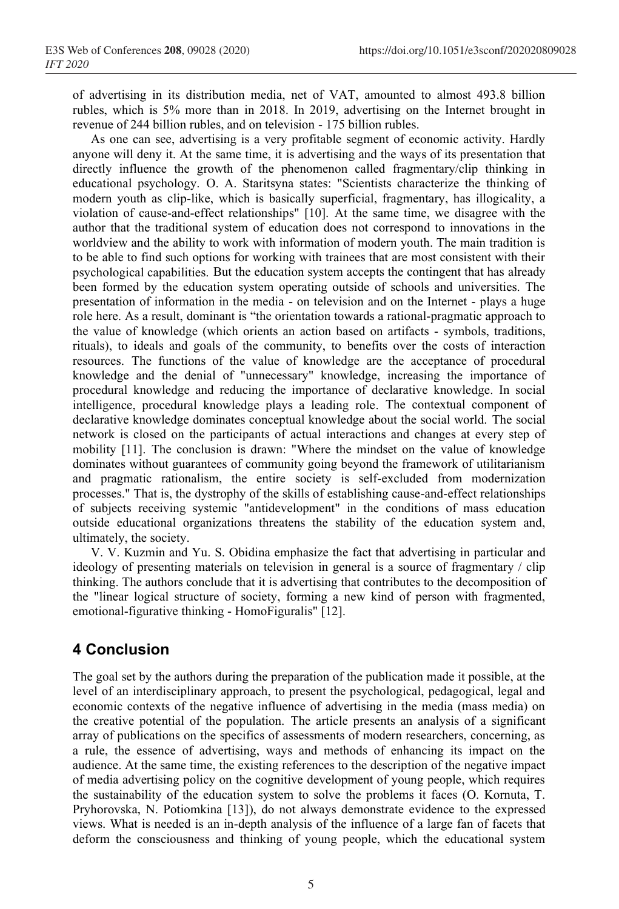of advertising in its distribution media, net of VAT, amounted to almost 493.8 billion rubles, which is 5% more than in 2018. In 2019, advertising on the Internet brought in revenue of 244 billion rubles, and on television - 175 billion rubles.

As one can see, advertising is a very profitable segment of economic activity. Hardly anyone will deny it. At the same time, it is advertising and the ways of its presentation that directly influence the growth of the phenomenon called fragmentary/clip thinking in educational psychology. O. A. Staritsyna states: "Scientists characterize the thinking of modern youth as clip-like, which is basically superficial, fragmentary, has illogicality, a violation of cause-and-effect relationships" [10]. At the same time, we disagree with the author that the traditional system of education does not correspond to innovations in the worldview and the ability to work with information of modern youth. The main tradition is to be able to find such options for working with trainees that are most consistent with their psychological capabilities. But the education system accepts the contingent that has already been formed by the education system operating outside of schools and universities. The presentation of information in the media - on television and on the Internet - plays a huge role here. As a result, dominant is "the orientation towards a rational-pragmatic approach to the value of knowledge (which orients an action based on artifacts - symbols, traditions, rituals), to ideals and goals of the community, to benefits over the costs of interaction resources. The functions of the value of knowledge are the acceptance of procedural knowledge and the denial of "unnecessary" knowledge, increasing the importance of procedural knowledge and reducing the importance of declarative knowledge. In social intelligence, procedural knowledge plays a leading role. The contextual component of declarative knowledge dominates conceptual knowledge about the social world. The social network is closed on the participants of actual interactions and changes at every step of mobility [11]. The conclusion is drawn: "Where the mindset on the value of knowledge dominates without guarantees of community going beyond the framework of utilitarianism and pragmatic rationalism, the entire society is self-excluded from modernization processes." That is, the dystrophy of the skills of establishing cause-and-effect relationships of subjects receiving systemic "antidevelopment" in the conditions of mass education outside educational organizations threatens the stability of the education system and, ultimately, the society.

V. V. Kuzmin and Yu. S. Obidina emphasize the fact that advertising in particular and ideology of presenting materials on television in general is a source of fragmentary / clip thinking. The authors conclude that it is advertising that contributes to the decomposition of the "linear logical structure of society, forming a new kind of person with fragmented, emotional-figurative thinking - HomoFiguralis" [12].

## **4 Conclusion**

The goal set by the authors during the preparation of the publication made it possible, at the level of an interdisciplinary approach, to present the psychological, pedagogical, legal and economic contexts of the negative influence of advertising in the media (mass media) on the creative potential of the population. The article presents an analysis of a significant array of publications on the specifics of assessments of modern researchers, concerning, as a rule, the essence of advertising, ways and methods of enhancing its impact on the audience. At the same time, the existing references to the description of the negative impact of media advertising policy on the cognitive development of young people, which requires the sustainability of the education system to solve the problems it faces (O. Kornuta, T. Pryhorovska, N. Potiomkina [13]), do not always demonstrate evidence to the expressed views. What is needed is an in-depth analysis of the influence of a large fan of facets that deform the consciousness and thinking of young people, which the educational system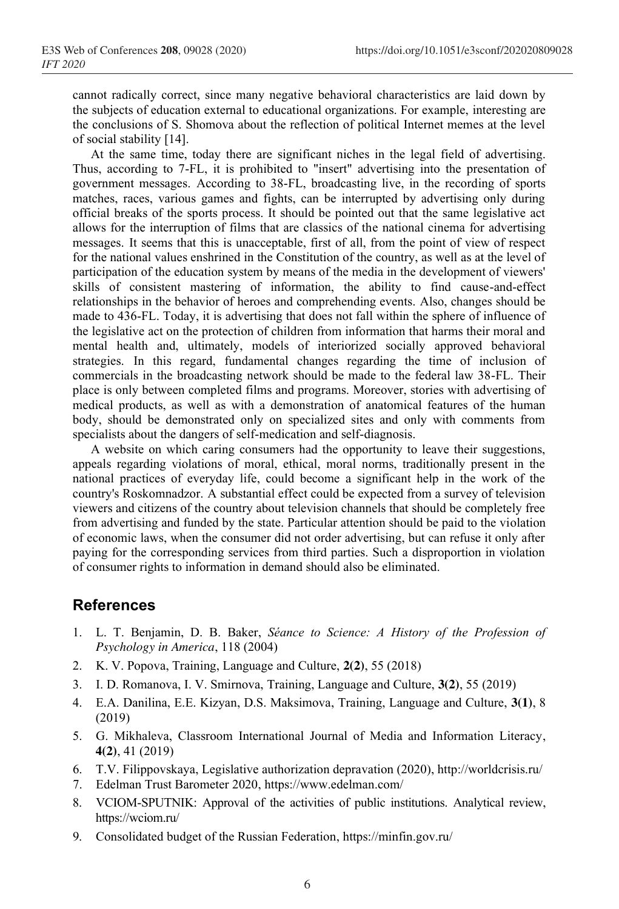cannot radically correct, since many negative behavioral characteristics are laid down by the subjects of education external to educational organizations. For example, interesting are the conclusions of S. Shomova about the reflection of political Internet memes at the level of social stability [14].

At the same time, today there are significant niches in the legal field of advertising. Thus, according to 7-FL, it is prohibited to "insert" advertising into the presentation of government messages. According to 38-FL, broadcasting live, in the recording of sports matches, races, various games and fights, can be interrupted by advertising only during official breaks of the sports process. It should be pointed out that the same legislative act allows for the interruption of films that are classics of the national cinema for advertising messages. It seems that this is unacceptable, first of all, from the point of view of respect for the national values enshrined in the Constitution of the country, as well as at the level of participation of the education system by means of the media in the development of viewers' skills of consistent mastering of information, the ability to find cause-and-effect relationships in the behavior of heroes and comprehending events. Also, changes should be made to 436-FL. Today, it is advertising that does not fall within the sphere of influence of the legislative act on the protection of children from information that harms their moral and mental health and, ultimately, models of interiorized socially approved behavioral strategies. In this regard, fundamental changes regarding the time of inclusion of commercials in the broadcasting network should be made to the federal law 38-FL. Their place is only between completed films and programs. Moreover, stories with advertising of medical products, as well as with a demonstration of anatomical features of the human body, should be demonstrated only on specialized sites and only with comments from specialists about the dangers of self-medication and self-diagnosis.

A website on which caring consumers had the opportunity to leave their suggestions, appeals regarding violations of moral, ethical, moral norms, traditionally present in the national practices of everyday life, could become a significant help in the work of the country's Roskomnadzor. A substantial effect could be expected from a survey of television viewers and citizens of the country about television channels that should be completely free from advertising and funded by the state. Particular attention should be paid to the violation of economic laws, when the consumer did not order advertising, but can refuse it only after paying for the corresponding services from third parties. Such a disproportion in violation of consumer rights to information in demand should also be eliminated.

### **References**

- 1. L. T. Benjamin, D. B. Baker, *Séance to Science: A History of the Profession of Psychology in America*, 118 (2004)
- 2. K. V. Popova, Training, Language and Culture, **2(2)**, 55 (2018)
- 3. I. D. Romanova, I. V. Smirnova, Training, Language and Culture, **3(2)**, 55 (2019)
- 4. E.A. Danilina, E.E. Kizyan, D.S. Maksimova, Training, Language and Culture, **3(1)**, 8 (2019)
- 5. G. Mikhaleva, Classroom International Journal of Media and Information Literacy, **4(2)**, 41 (2019)
- 6. T.V. Filippovskaya, Legislative authorization depravation (2020), http://worldcrisis.ru/
- 7. Edelman Trust Barometer 2020, https://www.edelman.com/
- 8. VCIOM-SPUTNIK: Approval of the activities of public institutions. Analytical review, https://wciom.ru/
- 9. Consolidated budget of the Russian Federation, https://minfin.gov.ru/